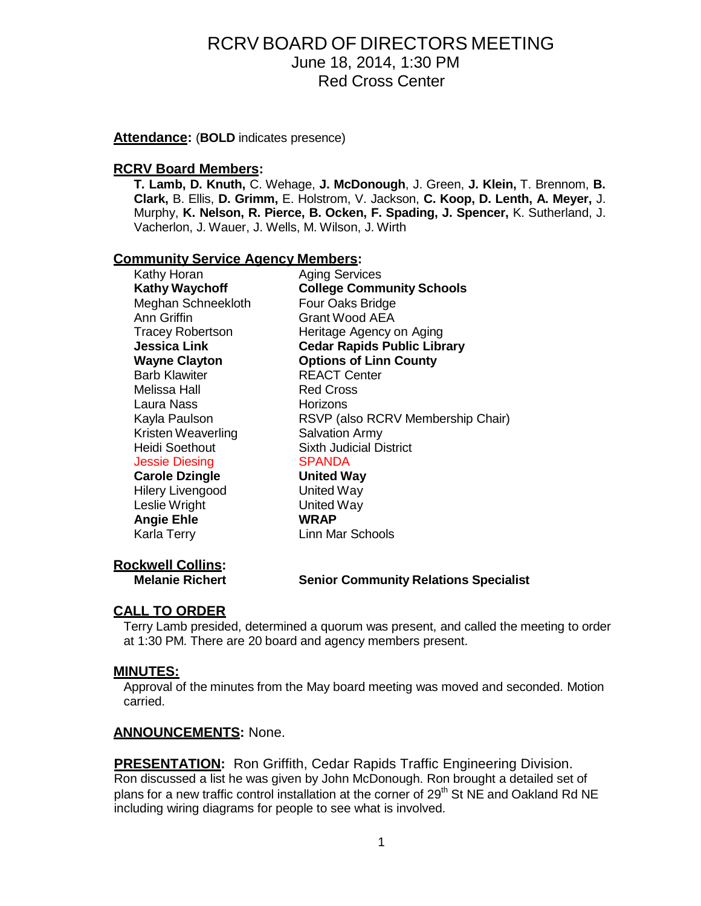**Attendance:** (**BOLD** indicates presence)

#### **RCRV Board Members:**

**T. Lamb, D. Knuth,** C. Wehage, **J. McDonough**, J. Green, **J. Klein,** T. Brennom, **B. Clark,** B. Ellis, **D. Grimm,** E. Holstrom, V. Jackson, **C. Koop, D. Lenth, A. Meyer,** J. Murphy, **K. Nelson, R. Pierce, B. Ocken, F. Spading, J. Spencer,** K. Sutherland, J. Vacherlon, J. Wauer, J. Wells, M. Wilson, J. Wirth

#### **Community Service Agency Members:**

| Kathy Horan             | <b>Aging Services</b>              |  |
|-------------------------|------------------------------------|--|
| <b>Kathy Waychoff</b>   | <b>College Community Schools</b>   |  |
| Meghan Schneekloth      | Four Oaks Bridge                   |  |
| Ann Griffin             | Grant Wood AEA                     |  |
| <b>Tracey Robertson</b> | Heritage Agency on Aging           |  |
| Jessica Link            | <b>Cedar Rapids Public Library</b> |  |
| <b>Wayne Clayton</b>    | <b>Options of Linn County</b>      |  |
| <b>Barb Klawiter</b>    | <b>REACT Center</b>                |  |
| Melissa Hall            | <b>Red Cross</b>                   |  |
| Laura Nass              | Horizons                           |  |
| Kayla Paulson           | RSVP (also RCRV Membership Chair)  |  |
| Kristen Weaverling      | <b>Salvation Army</b>              |  |
| Heidi Soethout          | Sixth Judicial District            |  |
| <b>Jessie Diesing</b>   | <b>SPANDA</b>                      |  |
| <b>Carole Dzingle</b>   | <b>United Way</b>                  |  |
| <b>Hilery Livengood</b> | United Way                         |  |
| Leslie Wright           | United Way                         |  |
| <b>Angie Ehle</b>       | <b>WRAP</b>                        |  |
| Karla Terry             | Linn Mar Schools                   |  |
|                         |                                    |  |

# **Rockwell Collins:**

### **Melanie Richert Senior Community Relations Specialist**

# **CALL TO ORDER**

Terry Lamb presided, determined a quorum was present, and called the meeting to order at 1:30 PM. There are 20 board and agency members present.

#### **MINUTES:**

Approval of the minutes from the May board meeting was moved and seconded. Motion carried.

#### **ANNOUNCEMENTS:** None.

**PRESENTATION:** Ron Griffith, Cedar Rapids Traffic Engineering Division. Ron discussed a list he was given by John McDonough. Ron brought a detailed set of plans for a new traffic control installation at the corner of  $29<sup>th</sup>$  St NE and Oakland Rd NE including wiring diagrams for people to see what is involved.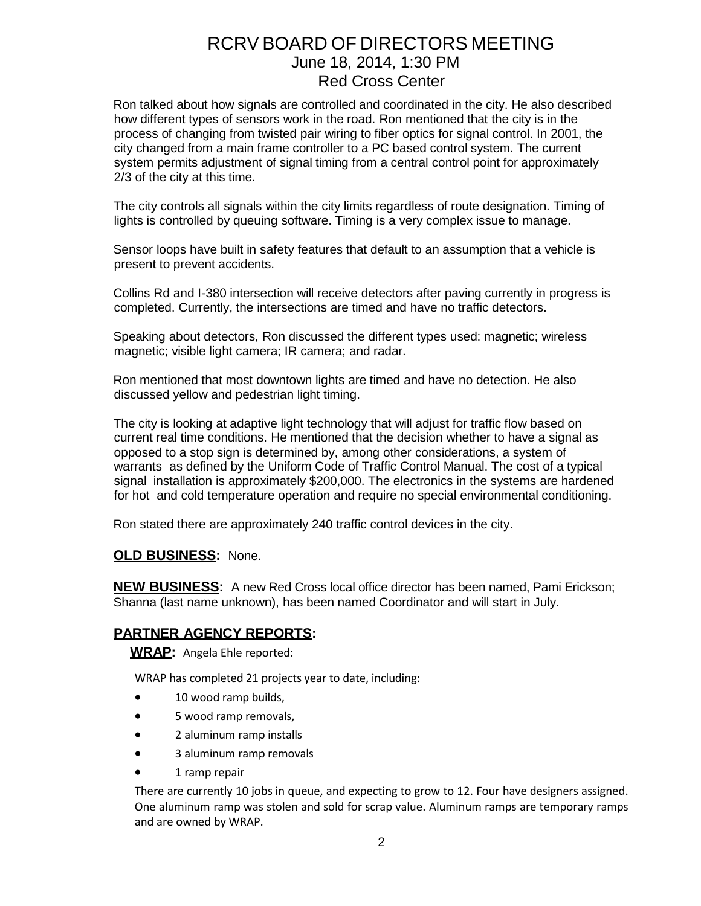Ron talked about how signals are controlled and coordinated in the city. He also described how different types of sensors work in the road. Ron mentioned that the city is in the process of changing from twisted pair wiring to fiber optics for signal control. In 2001, the city changed from a main frame controller to a PC based control system. The current system permits adjustment of signal timing from a central control point for approximately 2/3 of the city at this time.

The city controls all signals within the city limits regardless of route designation. Timing of lights is controlled by queuing software. Timing is a very complex issue to manage.

Sensor loops have built in safety features that default to an assumption that a vehicle is present to prevent accidents.

Collins Rd and I-380 intersection will receive detectors after paving currently in progress is completed. Currently, the intersections are timed and have no traffic detectors.

Speaking about detectors, Ron discussed the different types used: magnetic; wireless magnetic; visible light camera; IR camera; and radar.

Ron mentioned that most downtown lights are timed and have no detection. He also discussed yellow and pedestrian light timing.

The city is looking at adaptive light technology that will adjust for traffic flow based on current real time conditions. He mentioned that the decision whether to have a signal as opposed to a stop sign is determined by, among other considerations, a system of warrants as defined by the Uniform Code of Traffic Control Manual. The cost of a typical signal installation is approximately \$200,000. The electronics in the systems are hardened for hot and cold temperature operation and require no special environmental conditioning.

Ron stated there are approximately 240 traffic control devices in the city.

#### **OLD BUSINESS:** None.

**NEW BUSINESS:** A new Red Cross local office director has been named, Pami Erickson; Shanna (last name unknown), has been named Coordinator and will start in July.

# **PARTNER AGENCY REPORTS:**

**WRAP:** Angela Ehle reported:

WRAP has completed 21 projects year to date, including:

- 10 wood ramp builds,
- 5 wood ramp removals,
- 2 aluminum ramp installs
- 3 aluminum ramp removals
- 1 ramp repair

There are currently 10 jobs in queue, and expecting to grow to 12. Four have designers assigned. One aluminum ramp was stolen and sold for scrap value. Aluminum ramps are temporary ramps and are owned by WRAP.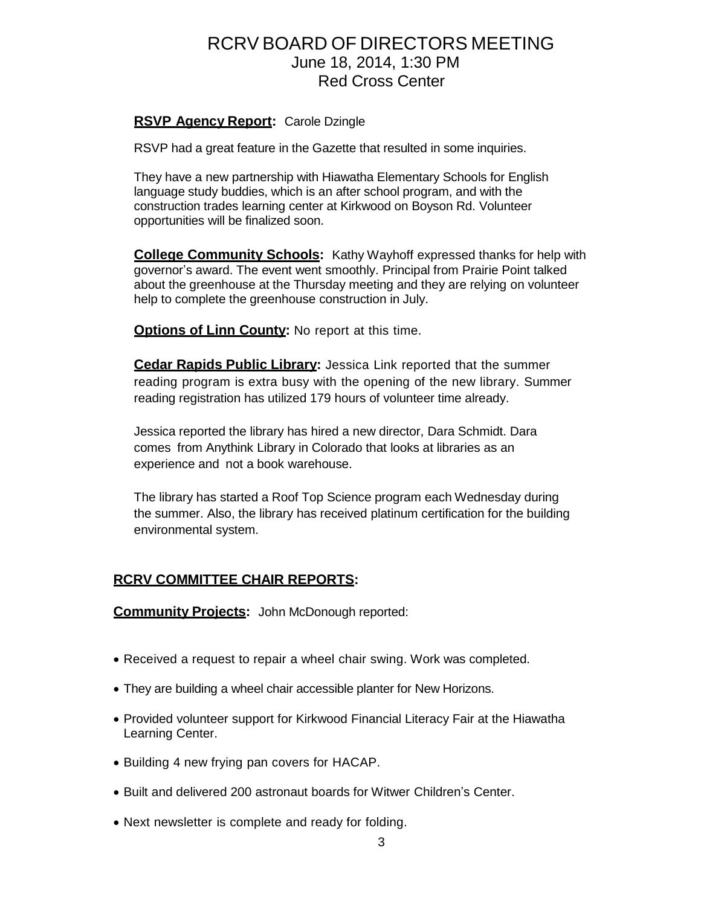### **RSVP Agency Report:** Carole Dzingle

RSVP had a great feature in the Gazette that resulted in some inquiries.

They have a new partnership with Hiawatha Elementary Schools for English language study buddies, which is an after school program, and with the construction trades learning center at Kirkwood on Boyson Rd. Volunteer opportunities will be finalized soon.

**College Community Schools:** Kathy Wayhoff expressed thanks for help with governor's award. The event went smoothly. Principal from Prairie Point talked about the greenhouse at the Thursday meeting and they are relying on volunteer help to complete the greenhouse construction in July.

**Options of Linn County:** No report at this time.

**Cedar Rapids Public Library:** Jessica Link reported that the summer reading program is extra busy with the opening of the new library. Summer reading registration has utilized 179 hours of volunteer time already.

Jessica reported the library has hired a new director, Dara Schmidt. Dara comes from Anythink Library in Colorado that looks at libraries as an experience and not a book warehouse.

The library has started a Roof Top Science program each Wednesday during the summer. Also, the library has received platinum certification for the building environmental system.

# **RCRV COMMITTEE CHAIR REPORTS:**

**Community Projects:** John McDonough reported:

- Received a request to repair a wheel chair swing. Work was completed.
- They are building a wheel chair accessible planter for New Horizons.
- Provided volunteer support for Kirkwood Financial Literacy Fair at the Hiawatha Learning Center.
- Building 4 new frying pan covers for HACAP.
- Built and delivered 200 astronaut boards for Witwer Children's Center.
- Next newsletter is complete and ready for folding.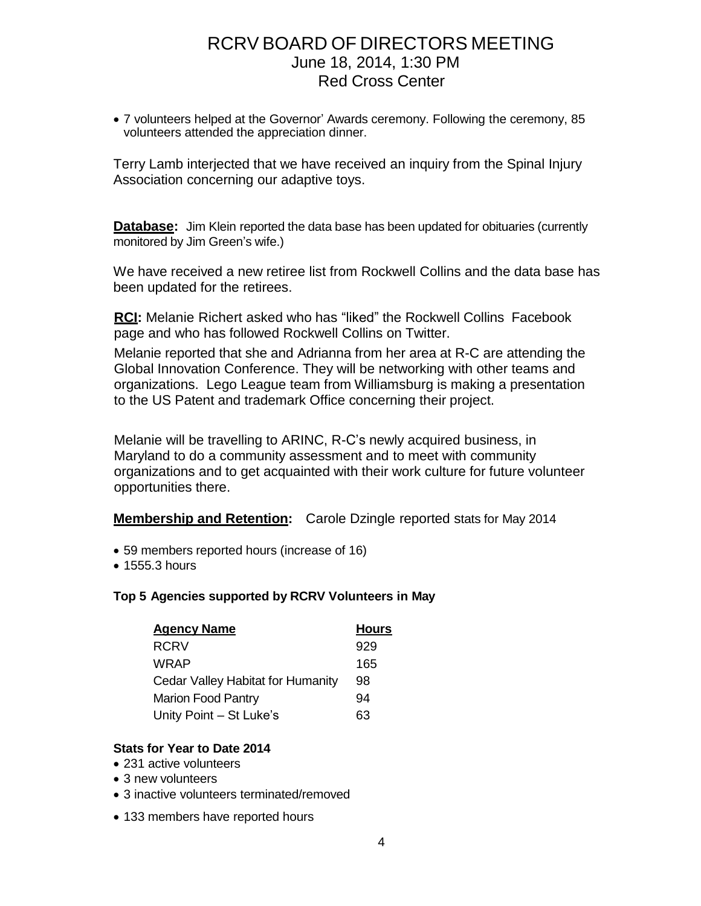7 volunteers helped at the Governor' Awards ceremony. Following the ceremony, 85 volunteers attended the appreciation dinner.

Terry Lamb interjected that we have received an inquiry from the Spinal Injury Association concerning our adaptive toys.

**Database:** Jim Klein reported the data base has been updated for obituaries (currently monitored by Jim Green's wife.)

We have received a new retiree list from Rockwell Collins and the data base has been updated for the retirees.

**RCI:** Melanie Richert asked who has "liked" the Rockwell Collins Facebook page and who has followed Rockwell Collins on Twitter.

Melanie reported that she and Adrianna from her area at R-C are attending the Global Innovation Conference. They will be networking with other teams and organizations. Lego League team from Williamsburg is making a presentation to the US Patent and trademark Office concerning their project.

Melanie will be travelling to ARINC, R-C's newly acquired business, in Maryland to do a community assessment and to meet with community organizations and to get acquainted with their work culture for future volunteer opportunities there.

**Membership and Retention:** Carole Dzingle reported stats for May 2014

- 59 members reported hours (increase of 16)
- 1555.3 hours

### **Top 5 Agencies supported by RCRV Volunteers in May**

| <b>Agency Name</b>                | <b>Hours</b> |
|-----------------------------------|--------------|
| <b>RCRV</b>                       | 929          |
| <b>WRAP</b>                       | 165          |
| Cedar Valley Habitat for Humanity | 98           |
| <b>Marion Food Pantry</b>         | 94           |
| Unity Point - St Luke's           | 63           |

### **Stats for Year to Date 2014**

- 231 active volunteers
- 3 new volunteers
- 3 inactive volunteers terminated/removed
- 133 members have reported hours